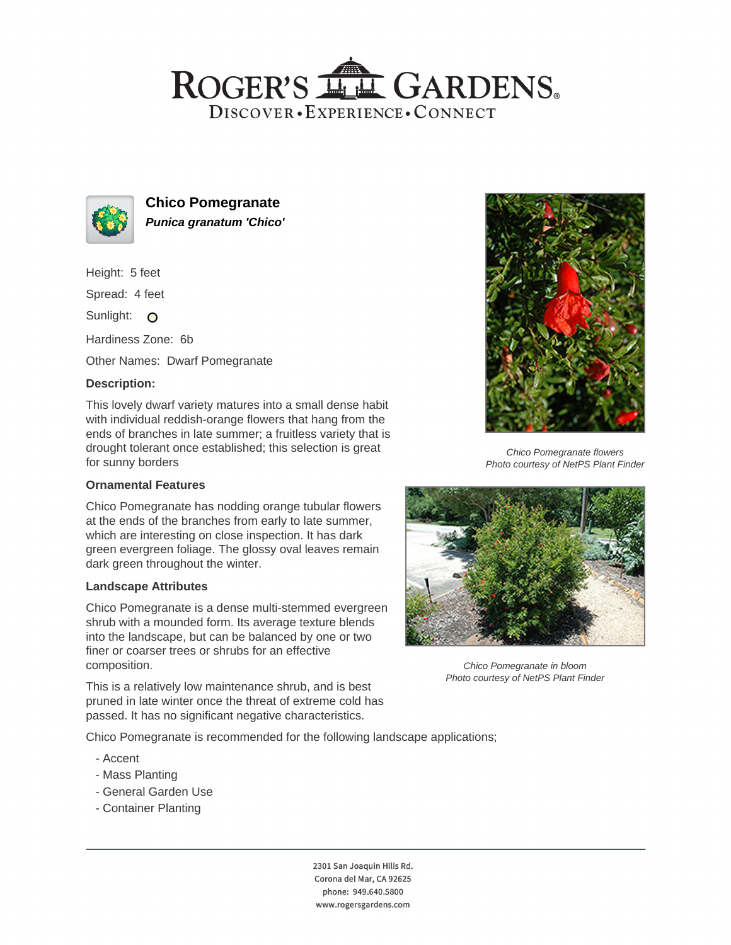## ROGER'S LL GARDENS. DISCOVER · EXPERIENCE · CONNECT



**Chico Pomegranate Punica granatum 'Chico'**

Height: 5 feet

Spread: 4 feet

Sunlight: O

Hardiness Zone: 6b

Other Names: Dwarf Pomegranate

## **Description:**

This lovely dwarf variety matures into a small dense habit with individual reddish-orange flowers that hang from the ends of branches in late summer; a fruitless variety that is drought tolerant once established; this selection is great for sunny borders

#### **Ornamental Features**

Chico Pomegranate has nodding orange tubular flowers at the ends of the branches from early to late summer, which are interesting on close inspection. It has dark green evergreen foliage. The glossy oval leaves remain dark green throughout the winter.

#### **Landscape Attributes**

Chico Pomegranate is a dense multi-stemmed evergreen shrub with a mounded form. Its average texture blends into the landscape, but can be balanced by one or two finer or coarser trees or shrubs for an effective composition.

This is a relatively low maintenance shrub, and is best pruned in late winter once the threat of extreme cold has passed. It has no significant negative characteristics.

Chico Pomegranate is recommended for the following landscape applications;

- Accent
- Mass Planting
- General Garden Use
- Container Planting





Chico Pomegranate flowers Photo courtesy of NetPS Plant Finder



Chico Pomegranate in bloom Photo courtesy of NetPS Plant Finder